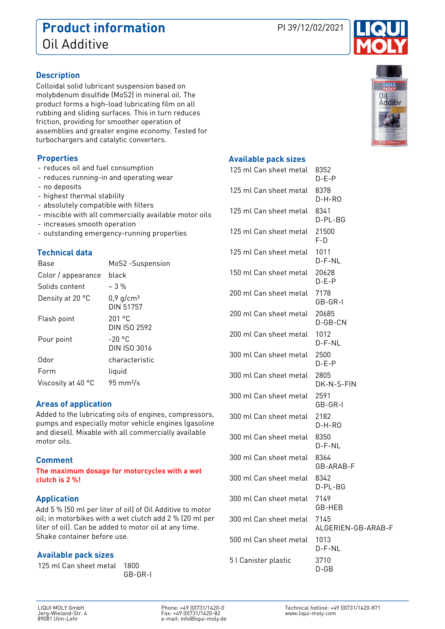# **Product information** PI 39/12/02/2021 Oil Additive

Colloidal solid lubricant suspension based on

molybdenum disulfide (MoS2) in mineral oil. The product forms a high-load lubricating film on all rubbing and sliding surfaces. This in turn reduces friction, providing for smoother operation of

assemblies and greater engine economy. Tested for turbochargers and catalytic converters.

#### **Properties**

**Description**

- reduces oil and fuel consumption
- reduces running-in and operating wear
- no deposits
- highest thermal stability
- absolutely compatible with filters
- miscible with all commercially available motor oils
- increases smooth operation
- outstanding emergency-running properties

# **Technical data**

| Base               | MoS2 -Suspension                     |
|--------------------|--------------------------------------|
| Color / appearance | black                                |
| Solids content     | $-3\%$                               |
| Density at 20 °C   | $0,9$ g/cm <sup>3</sup><br>DIN 51757 |
| Flash point        | 201°C<br>DIN ISO 2592                |
| Pour point         | $-20 °C$<br>DIN ISO 3016             |
| Odor               | characteristic                       |
| Form               | liquid                               |
| Viscosity at 40 °C | $95 \text{ mm}^2$ /s                 |

### **Areas of application**

Added to the lubricating oils of engines, compressors, pumps and especially motor vehicle engines (gasoline and diesel). Mixable with all commercially available motor oils.

### **Comment**

**The maximum dosage for motorcycles with a wet clutch is 2 %!**

#### **Application**

Add 5 % (50 ml per liter of oil) of Oil Additive to motor oil; in motorbikes with a wet clutch add 2 % (20 ml per liter of oil). Can be added to motor oil at any time. Shake container before use.

### **Available pack sizes**

125 ml Can sheet metal 1800

GB-GR-I





# **Available pack sizes**

| 125 ml Can sheet metal | 8352<br>$D-E-P$            |
|------------------------|----------------------------|
| 125 ml Can sheet metal | 8378<br>D-H-RO             |
| 125 ml Can sheet metal | 8341<br>D-PL-BG            |
| 125 ml Can sheet metal | 21500<br>F-D               |
| 125 ml Can sheet metal | 1011<br>D-F-NL             |
| 150 ml Can sheet metal | 20628<br>$D-E-P$           |
| 200 ml Can sheet metal | 7178<br>GB-GR-I            |
| 200 ml Can sheet metal | 20685<br>D-GB-CN           |
| 200 ml Can sheet metal | 1012<br>$D$ -F-NL          |
| 300 ml Can sheet metal | 2500<br>D-E-P              |
| 300 ml Can sheet metal | 2805<br>DK-N-S-FIN         |
| 300 ml Can sheet metal | 2591<br>GB-GR-I            |
| 300 ml Can sheet metal | 2182<br>D-H-RO             |
| 300 ml Can sheet metal | 8350<br>D-F-NL             |
| 300 ml Can sheet metal | 8364<br>GB-ARAB-F          |
| 300 ml Can sheet metal | 8342<br>D-PL-BG            |
| 300 ml Can sheet metal | 7149<br>GB-HEB             |
| 300 ml Can sheet metal | 7145<br>ALGERIEN-GB-ARAB-F |
| 500 ml Can sheet metal | 1013<br>D-F-NL             |
| 5 l Canister plastic   | 3710<br>$D$ -GB            |